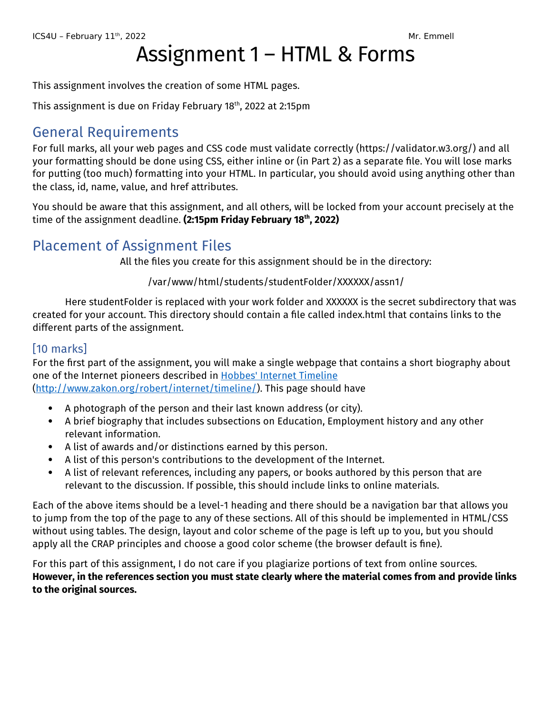# Assignment 1 – HTML & Forms

This assignment involves the creation of some HTML pages.

This assignment is due on Friday February 18th, 2022 at 2:15pm

## General Requirements

For full marks, all your web pages and CSS code must validate correctly (https://validator.w3.org/) and all your formatting should be done using CSS, either inline or (in Part 2) as a separate file. You will lose marks for putting (too much) formatting into your HTML. In particular, you should avoid using anything other than the class, id, name, value, and href attributes.

You should be aware that this assignment, and all others, will be locked from your account precisely at the time of the assignment deadline. **(2:15pm Friday February 18th, 2022)**

# Placement of Assignment Files

All the files you create for this assignment should be in the directory:

/var/www/html/students/studentFolder/XXXXXX/assn1/

Here studentFolder is replaced with your work folder and XXXXXX is the secret subdirectory that was created for your account. This directory should contain a file called index.html that contains links to the different parts of the assignment.

### [10 marks]

For the first part of the assignment, you will make a single webpage that contains a short biography about one of the Internet pioneers described in Hobbes' Internet Timeline (http://www.zakon.org/robert/internet/timeline/). This page should have

- $\bullet$  A photograph of the person and their last known address (or city).
- A brief biography that includes subsections on Education, Employment history and any other relevant information.
- A list of awards and/or distinctions earned by this person.
- A list of this person's contributions to the development of the Internet.
- A list of relevant references, including any papers, or books authored by this person that are relevant to the discussion. If possible, this should include links to online materials.

Each of the above items should be a level-1 heading and there should be a navigation bar that allows you to jump from the top of the page to any of these sections. All of this should be implemented in HTML/CSS without using tables. The design, layout and color scheme of the page is left up to you, but you should apply all the CRAP principles and choose a good color scheme (the browser default is fine).

For this part of this assignment, I do not care if you plagiarize portions of text from online sources. **However, in the references section you must state clearly where the material comes from and provide links to the original sources.**